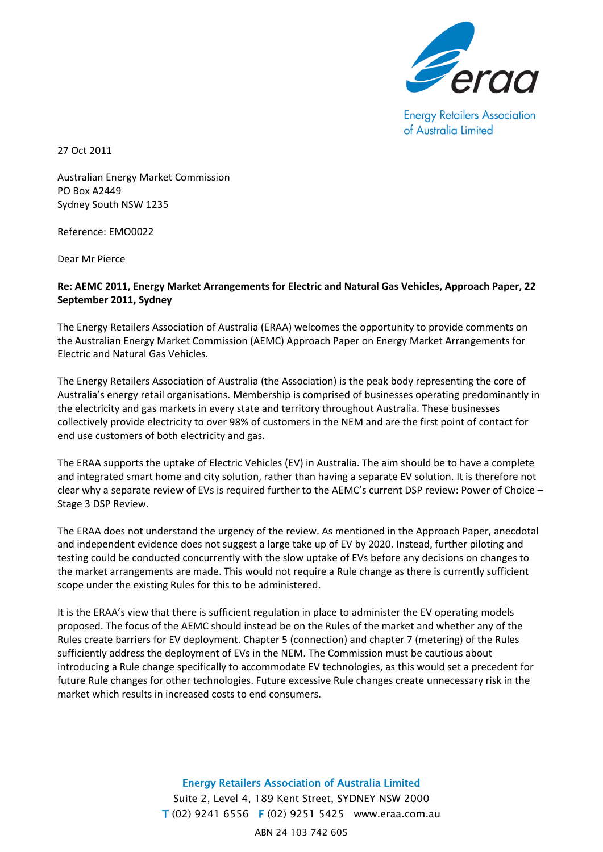

**Energy Retailers Association** of Australia Limited

27 Oct 2011

Australian Energy Market Commission PO Box A2449 Sydney South NSW 1235

Reference: EMO0022

Dear Mr Pierce

## **Re: AEMC 2011, Energy Market Arrangements for Electric and Natural Gas Vehicles, Approach Paper, 22 September 2011, Sydney**

The Energy Retailers Association of Australia (ERAA) welcomes the opportunity to provide comments on the Australian Energy Market Commission (AEMC) Approach Paper on Energy Market Arrangements for Electric and Natural Gas Vehicles.

The Energy Retailers Association of Australia (the Association) is the peak body representing the core of Australia's energy retail organisations. Membership is comprised of businesses operating predominantly in the electricity and gas markets in every state and territory throughout Australia. These businesses collectively provide electricity to over 98% of customers in the NEM and are the first point of contact for end use customers of both electricity and gas.

The ERAA supports the uptake of Electric Vehicles (EV) in Australia. The aim should be to have a complete and integrated smart home and city solution, rather than having a separate EV solution. It is therefore not clear why a separate review of EVs is required further to the AEMC's current DSP review: Power of Choice – Stage 3 DSP Review.

The ERAA does not understand the urgency of the review. As mentioned in the Approach Paper, anecdotal and independent evidence does not suggest a large take up of EV by 2020. Instead, further piloting and testing could be conducted concurrently with the slow uptake of EVs before any decisions on changes to the market arrangements are made. This would not require a Rule change as there is currently sufficient scope under the existing Rules for this to be administered.

It is the ERAA's view that there is sufficient regulation in place to administer the EV operating models proposed. The focus of the AEMC should instead be on the Rules of the market and whether any of the Rules create barriers for EV deployment. Chapter 5 (connection) and chapter 7 (metering) of the Rules sufficiently address the deployment of EVs in the NEM. The Commission must be cautious about introducing a Rule change specifically to accommodate EV technologies, as this would set a precedent for future Rule changes for other technologies. Future excessive Rule changes create unnecessary risk in the market which results in increased costs to end consumers.

> Energy Retailers Association of Australia Limited Suite 2, Level 4, 189 Kent Street, SYDNEY NSW 2000 T (02) 9241 6556 F (02) 9251 5425 www.eraa.com.au ABN 24 103 742 605